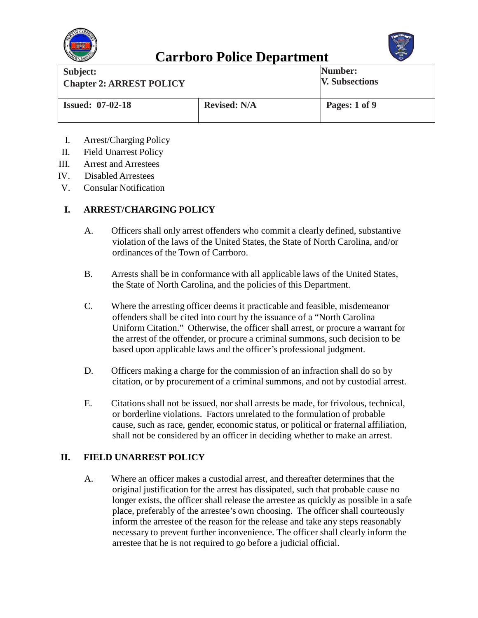



| Subject:<br><b>Chapter 2: ARREST POLICY</b> |                     | Number:<br><b>V. Subsections</b> |
|---------------------------------------------|---------------------|----------------------------------|
| <b>Issued: 07-02-18</b>                     | <b>Revised: N/A</b> | Pages: 1 of 9                    |

- I. Arrest/Charging Policy
- II. Field Unarrest Policy
- III. Arrest and Arrestees
- IV. Disabled Arrestees
- V. Consular Notification

#### **I. ARREST/CHARGING POLICY**

- A. Officers shall only arrest offenders who commit a clearly defined, substantive violation of the laws of the United States, the State of North Carolina, and/or ordinances of the Town of Carrboro.
- B. Arrests shall be in conformance with all applicable laws of the United States, the State of North Carolina, and the policies of this Department.
- C. Where the arresting officer deems it practicable and feasible, misdemeanor offenders shall be cited into court by the issuance of a "North Carolina Uniform Citation." Otherwise, the officer shall arrest, or procure a warrant for the arrest of the offender, or procure a criminal summons, such decision to be based upon applicable laws and the officer's professional judgment.
- D. Officers making a charge for the commission of an infraction shall do so by citation, or by procurement of a criminal summons, and not by custodial arrest.
- E. Citations shall not be issued, nor shall arrests be made, for frivolous, technical, or borderline violations. Factors unrelated to the formulation of probable cause, such as race, gender, economic status, or political or fraternal affiliation, shall not be considered by an officer in deciding whether to make an arrest.

#### **II. FIELD UNARREST POLICY**

A. Where an officer makes a custodial arrest, and thereafter determines that the original justification for the arrest has dissipated, such that probable cause no longer exists, the officer shall release the arrestee as quickly as possible in a safe place, preferably of the arrestee's own choosing. The officer shall courteously inform the arrestee of the reason for the release and take any steps reasonably necessary to prevent further inconvenience. The officer shall clearly inform the arrestee that he is not required to go before a judicial official.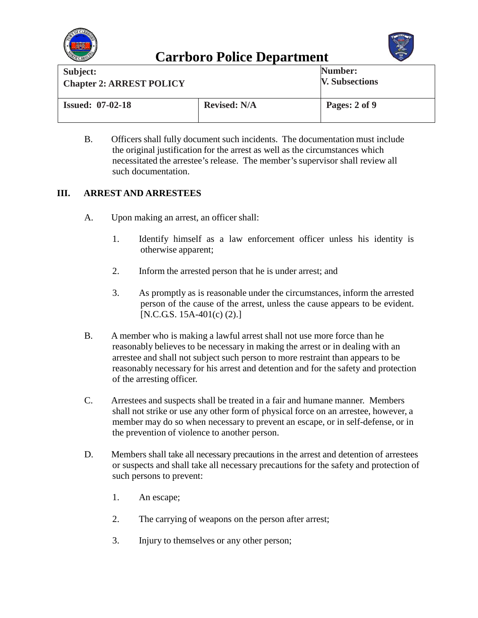



| Subject:<br><b>Chapter 2: ARREST POLICY</b> |                     | Number:<br><b>V. Subsections</b> |
|---------------------------------------------|---------------------|----------------------------------|
| <b>Issued: 07-02-18</b>                     | <b>Revised: N/A</b> | Pages: 2 of 9                    |

B. Officers shall fully document such incidents. The documentation must include the original justification for the arrest as well as the circumstances which necessitated the arrestee's release. The member's supervisor shall review all such documentation.

#### **III. ARREST AND ARRESTEES**

- A. Upon making an arrest, an officer shall:
	- 1. Identify himself as a law enforcement officer unless his identity is otherwise apparent;
	- 2. Inform the arrested person that he is under arrest; and
	- 3. As promptly as is reasonable under the circumstances, inform the arrested person of the cause of the arrest, unless the cause appears to be evident. [N.C.G.S. 15A-401(c) (2).]
- B. A member who is making a lawful arrest shall not use more force than he reasonably believes to be necessary in making the arrest or in dealing with an arrestee and shall not subject such person to more restraint than appears to be reasonably necessary for his arrest and detention and for the safety and protection of the arresting officer.
- C. Arrestees and suspects shall be treated in a fair and humane manner. Members shall not strike or use any other form of physical force on an arrestee, however, a member may do so when necessary to prevent an escape, or in self-defense, or in the prevention of violence to another person.
- D. Members shall take all necessary precautions in the arrest and detention of arrestees or suspects and shall take all necessary precautions for the safety and protection of such persons to prevent:
	- 1. An escape;
	- 2. The carrying of weapons on the person after arrest;
	- 3. Injury to themselves or any other person;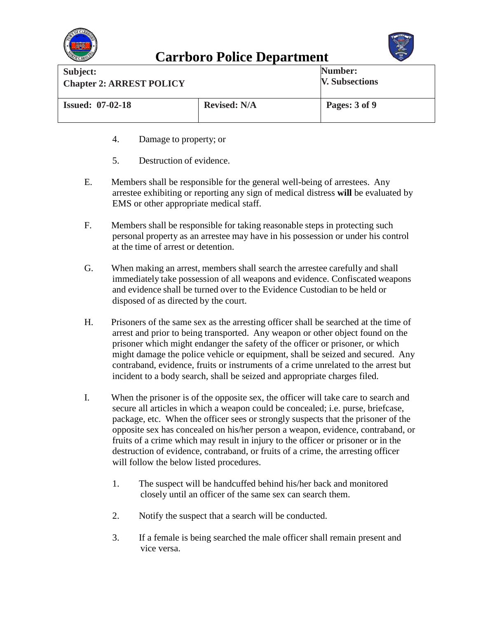



| Subject:<br><b>Chapter 2: ARREST POLICY</b> |                     | Number:<br><b>V. Subsections</b> |
|---------------------------------------------|---------------------|----------------------------------|
| <b>Issued: 07-02-18</b>                     | <b>Revised: N/A</b> | Pages: 3 of 9                    |

- 4. Damage to property; or
- 5. Destruction of evidence.
- E. Members shall be responsible for the general well-being of arrestees. Any arrestee exhibiting or reporting any sign of medical distress **will** be evaluated by EMS or other appropriate medical staff.
- F. Members shall be responsible for taking reasonable steps in protecting such personal property as an arrestee may have in his possession or under his control at the time of arrest or detention.
- G. When making an arrest, members shall search the arrestee carefully and shall immediately take possession of all weapons and evidence. Confiscated weapons and evidence shall be turned over to the Evidence Custodian to be held or disposed of as directed by the court.
- H. Prisoners of the same sex as the arresting officer shall be searched at the time of arrest and prior to being transported. Any weapon or other object found on the prisoner which might endanger the safety of the officer or prisoner, or which might damage the police vehicle or equipment, shall be seized and secured. Any contraband, evidence, fruits or instruments of a crime unrelated to the arrest but incident to a body search, shall be seized and appropriate charges filed.
- I. When the prisoner is of the opposite sex, the officer will take care to search and secure all articles in which a weapon could be concealed; i.e. purse, briefcase, package, etc. When the officer sees or strongly suspects that the prisoner of the opposite sex has concealed on his/her person a weapon, evidence, contraband, or fruits of a crime which may result in injury to the officer or prisoner or in the destruction of evidence, contraband, or fruits of a crime, the arresting officer will follow the below listed procedures.
	- 1. The suspect will be handcuffed behind his/her back and monitored closely until an officer of the same sex can search them.
	- 2. Notify the suspect that a search will be conducted.
	- 3. If a female is being searched the male officer shall remain present and vice versa.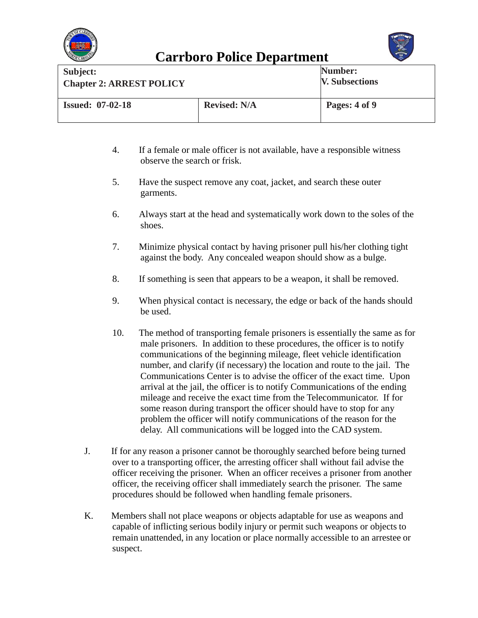



| Subject:                        |                     | Number:               |
|---------------------------------|---------------------|-----------------------|
| <b>Chapter 2: ARREST POLICY</b> |                     | <b>V. Subsections</b> |
| <b>Issued: 07-02-18</b>         | <b>Revised: N/A</b> | Pages: 4 of 9         |

- 4. If a female or male officer is not available, have a responsible witness observe the search or frisk.
- 5. Have the suspect remove any coat, jacket, and search these outer garments.
- 6. Always start at the head and systematically work down to the soles of the shoes.
- 7. Minimize physical contact by having prisoner pull his/her clothing tight against the body. Any concealed weapon should show as a bulge.
- 8. If something is seen that appears to be a weapon, it shall be removed.
- 9. When physical contact is necessary, the edge or back of the hands should be used.
- 10. The method of transporting female prisoners is essentially the same as for male prisoners. In addition to these procedures, the officer is to notify communications of the beginning mileage, fleet vehicle identification number, and clarify (if necessary) the location and route to the jail. The Communications Center is to advise the officer of the exact time. Upon arrival at the jail, the officer is to notify Communications of the ending mileage and receive the exact time from the Telecommunicator. If for some reason during transport the officer should have to stop for any problem the officer will notify communications of the reason for the delay. All communications will be logged into the CAD system.
- J. If for any reason a prisoner cannot be thoroughly searched before being turned over to a transporting officer, the arresting officer shall without fail advise the officer receiving the prisoner. When an officer receives a prisoner from another officer, the receiving officer shall immediately search the prisoner. The same procedures should be followed when handling female prisoners.
- K. Members shall not place weapons or objects adaptable for use as weapons and capable of inflicting serious bodily injury or permit such weapons or objects to remain unattended, in any location or place normally accessible to an arrestee or suspect.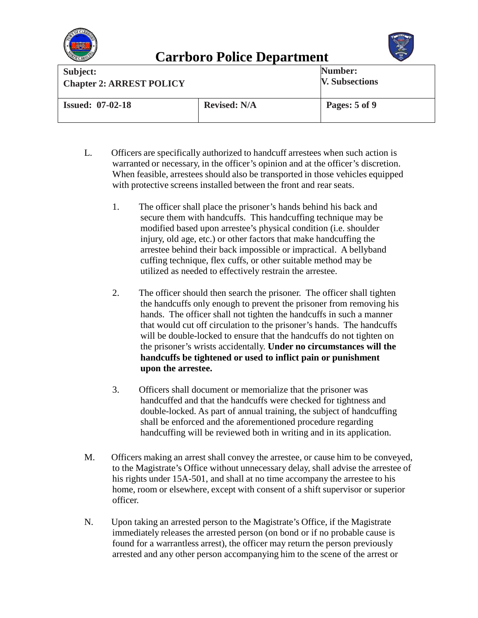



| Subject:<br><b>Chapter 2: ARREST POLICY</b> |                     | Number:<br><b>V. Subsections</b> |
|---------------------------------------------|---------------------|----------------------------------|
| <b>Issued: 07-02-18</b>                     | <b>Revised: N/A</b> | Pages: 5 of 9                    |

- L. Officers are specifically authorized to handcuff arrestees when such action is warranted or necessary, in the officer's opinion and at the officer's discretion. When feasible, arrestees should also be transported in those vehicles equipped with protective screens installed between the front and rear seats.
	- 1. The officer shall place the prisoner's hands behind his back and secure them with handcuffs. This handcuffing technique may be modified based upon arrestee's physical condition (i.e. shoulder injury, old age, etc.) or other factors that make handcuffing the arrestee behind their back impossible or impractical. A bellyband cuffing technique, flex cuffs, or other suitable method may be utilized as needed to effectively restrain the arrestee.
	- 2. The officer should then search the prisoner. The officer shall tighten the handcuffs only enough to prevent the prisoner from removing his hands. The officer shall not tighten the handcuffs in such a manner that would cut off circulation to the prisoner's hands. The handcuffs will be double-locked to ensure that the handcuffs do not tighten on the prisoner's wrists accidentally. **Under no circumstances will the handcuffs be tightened or used to inflict pain or punishment upon the arrestee.**
	- 3. Officers shall document or memorialize that the prisoner was handcuffed and that the handcuffs were checked for tightness and double-locked. As part of annual training, the subject of handcuffing shall be enforced and the aforementioned procedure regarding handcuffing will be reviewed both in writing and in its application.
- M. Officers making an arrest shall convey the arrestee, or cause him to be conveyed, to the Magistrate's Office without unnecessary delay, shall advise the arrestee of his rights under 15A-501, and shall at no time accompany the arrestee to his home, room or elsewhere, except with consent of a shift supervisor or superior officer.
- N. Upon taking an arrested person to the Magistrate's Office, if the Magistrate immediately releases the arrested person (on bond or if no probable cause is found for a warrantless arrest), the officer may return the person previously arrested and any other person accompanying him to the scene of the arrest or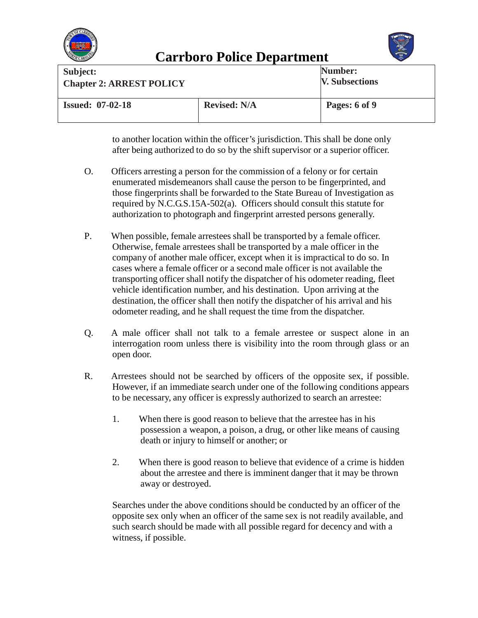



| Subject:<br><b>Chapter 2: ARREST POLICY</b> |                     | Number:<br><b>V. Subsections</b> |
|---------------------------------------------|---------------------|----------------------------------|
| <b>Issued: 07-02-18</b>                     | <b>Revised: N/A</b> | Pages: 6 of 9                    |

to another location within the officer's jurisdiction. This shall be done only after being authorized to do so by the shift supervisor or a superior officer.

- O. Officers arresting a person for the commission of a felony or for certain enumerated misdemeanors shall cause the person to be fingerprinted, and those fingerprints shall be forwarded to the State Bureau of Investigation as required by N.C.G.S.15A-502(a). Officers should consult this statute for authorization to photograph and fingerprint arrested persons generally.
- P. When possible, female arrestees shall be transported by a female officer. Otherwise, female arrestees shall be transported by a male officer in the company of another male officer, except when it is impractical to do so. In cases where a female officer or a second male officer is not available the transporting officer shall notify the dispatcher of his odometer reading, fleet vehicle identification number, and his destination. Upon arriving at the destination, the officer shall then notify the dispatcher of his arrival and his odometer reading, and he shall request the time from the dispatcher.
- Q. A male officer shall not talk to a female arrestee or suspect alone in an interrogation room unless there is visibility into the room through glass or an open door.
- R. Arrestees should not be searched by officers of the opposite sex, if possible. However, if an immediate search under one of the following conditions appears to be necessary, any officer is expressly authorized to search an arrestee:
	- 1. When there is good reason to believe that the arrestee has in his possession a weapon, a poison, a drug, or other like means of causing death or injury to himself or another; or
	- 2. When there is good reason to believe that evidence of a crime is hidden about the arrestee and there is imminent danger that it may be thrown away or destroyed.

Searches under the above conditions should be conducted by an officer of the opposite sex only when an officer of the same sex is not readily available, and such search should be made with all possible regard for decency and with a witness, if possible.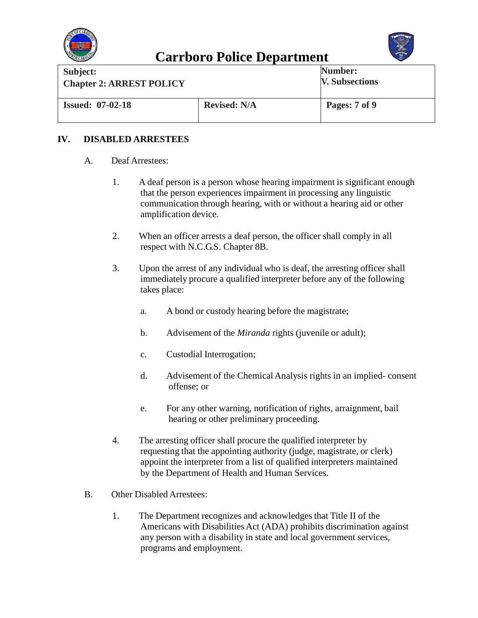



| Subject:                        |                     | Number:               |
|---------------------------------|---------------------|-----------------------|
| <b>Chapter 2: ARREST POLICY</b> |                     | <b>V. Subsections</b> |
| <b>Issued: 07-02-18</b>         | <b>Revised: N/A</b> | Pages: 7 of 9         |

#### **IV. DISABLED ARRESTEES**

- A. Deaf Arrestees:
	- 1. A deaf person is a person whose hearing impairment is significant enough that the person experiences impairment in processing any linguistic communication through hearing, with or without a hearing aid or other amplification device.
	- 2. When an officer arrests a deaf person, the officer shall comply in all respect with N.C.G.S. Chapter 8B.
	- 3. Upon the arrest of any individual who is deaf, the arresting officer shall immediately procure a qualified interpreter before any of the following takes place:
		- a. A bond or custody hearing before the magistrate;
		- b. Advisement of the *Miranda* rights (juvenile or adult);
		- c. Custodial Interrogation;
		- d. Advisement of the Chemical Analysis rights in an implied- consent offense; or
		- e. For any other warning, notification of rights, arraignment, bail hearing or other preliminary proceeding.
	- 4. The arresting officer shall procure the qualified interpreter by requesting that the appointing authority (judge, magistrate, or clerk) appoint the interpreter from a list of qualified interpreters maintained by the Department of Health and Human Services.
- B. Other Disabled Arrestees:
	- 1. The Department recognizes and acknowledgesthat Title II of the Americans with DisabilitiesAct (ADA) prohibits discrimination against any person with a disability in state and local government services, programs and employment.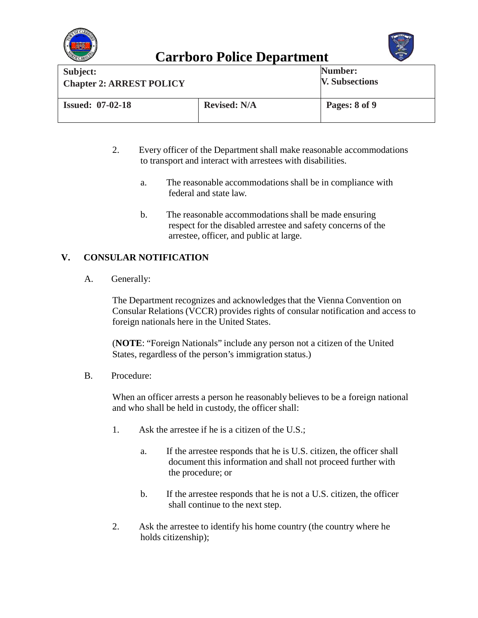



| Subject:<br><b>Chapter 2: ARREST POLICY</b> |                     | Number:<br><b>V. Subsections</b> |
|---------------------------------------------|---------------------|----------------------------------|
| <b>Issued: 07-02-18</b>                     | <b>Revised: N/A</b> | Pages: 8 of 9                    |

- 2. Every officer of the Department shall make reasonable accommodations to transport and interact with arrestees with disabilities.
	- a. The reasonable accommodations shall be in compliance with federal and state law.
	- b. The reasonable accommodations shall be made ensuring respect for the disabled arrestee and safety concerns of the arrestee, officer, and public at large.

### **V. CONSULAR NOTIFICATION**

A. Generally:

The Department recognizes and acknowledges that the Vienna Convention on Consular Relations (VCCR) provides rights of consular notification and access to foreign nationals here in the United States.

(**NOTE**: "Foreign Nationals" include any person not a citizen of the United States, regardless of the person's immigration status.)

B. Procedure:

When an officer arrests a person he reasonably believes to be a foreign national and who shall be held in custody, the officer shall:

- 1. Ask the arrestee if he is a citizen of the U.S.;
	- a. If the arrestee responds that he is U.S. citizen, the officer shall document this information and shall not proceed further with the procedure; or
	- b. If the arrestee responds that he is not a U.S. citizen, the officer shall continue to the next step.
- 2. Ask the arrestee to identify his home country (the country where he holds citizenship);